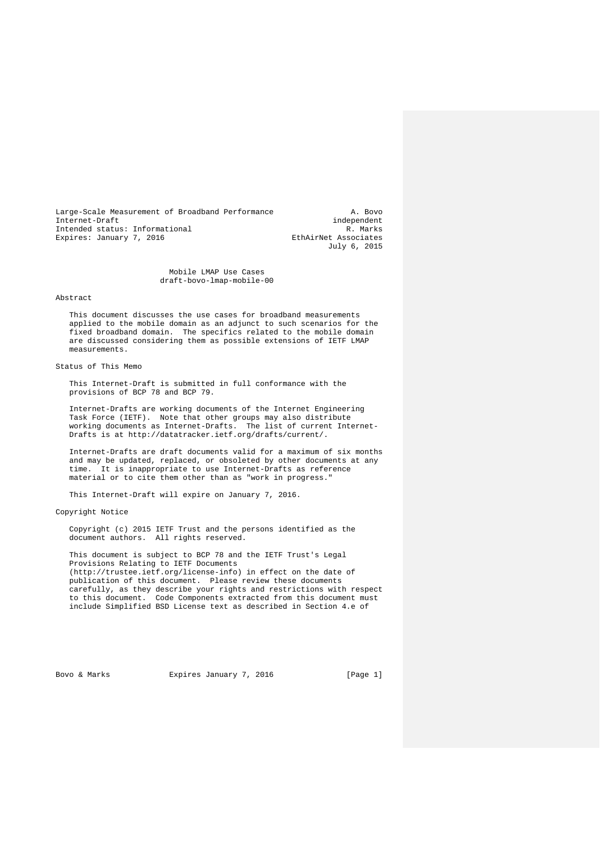Large-Scale Measurement of Broadband Performance **A. Bovo**<br>Internet-Draft degree and the performance and the performance of  $\overline{a}$ Internet-Draft independent Intended status: Informational and R. Marks Riggins: January 7, 2016<br>EthAirNet Associates Expires: January 7, 2016

July 6, 2015

 Mobile LMAP Use Cases draft-bovo-lmap-mobile-00

#### Abstract

 This document discusses the use cases for broadband measurements applied to the mobile domain as an adjunct to such scenarios for the fixed broadband domain. The specifics related to the mobile domain are discussed considering them as possible extensions of IETF LMAP measurements.

# Status of This Memo

 This Internet-Draft is submitted in full conformance with the provisions of BCP 78 and BCP 79.

 Internet-Drafts are working documents of the Internet Engineering Task Force (IETF). Note that other groups may also distribute working documents as Internet-Drafts. The list of current Internet- Drafts is at http://datatracker.ietf.org/drafts/current/.

 Internet-Drafts are draft documents valid for a maximum of six months and may be updated, replaced, or obsoleted by other documents at any time. It is inappropriate to use Internet-Drafts as reference It is inappropriate to use Internet-Drafts as reference material or to cite them other than as "work in progress.

This Internet-Draft will expire on January 7, 2016.

#### Copyright Notice

 Copyright (c) 2015 IETF Trust and the persons identified as the document authors. All rights reserved.

 This document is subject to BCP 78 and the IETF Trust's Legal Provisions Relating to IETF Documents (http://trustee.ietf.org/license-info) in effect on the date of publication of this document. Please review these documents carefully, as they describe your rights and restrictions with respect to this document. Code Components extracted from this document must include Simplified BSD License text as described in Section 4.e of

Bovo & Marks **Expires January 7, 2016** [Page 1]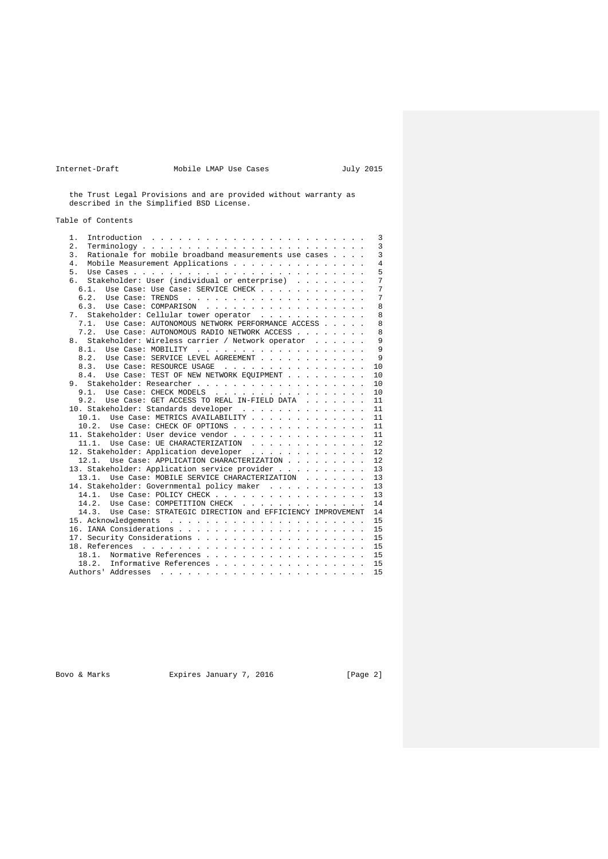Internet-Draft Mobile LMAP Use Cases July 2015

 the Trust Legal Provisions and are provided without warranty as described in the Simplified BSD License.

# Table of Contents

| 1.                                                                        | 3              |
|---------------------------------------------------------------------------|----------------|
| 2.<br>$Terminology :$                                                     | 3              |
| Rationale for mobile broadband measurements use cases<br>$\overline{3}$ . | 3              |
| 4.<br>Mobile Measurement Applications                                     | $\overline{4}$ |
| 5.                                                                        | 5              |
| Stakeholder: User (individual or enterprise)<br>6.                        | 7              |
| 6.1.<br>Use Case: Use Case: SERVICE CHECK                                 | $\overline{7}$ |
| 6.2.                                                                      | 7              |
| 6.3                                                                       | 8              |
| Stakeholder: Cellular tower operator<br>7.                                | 8              |
| Use Case: AUTONOMOUS NETWORK PERFORMANCE ACCESS<br>7.1.                   | 8              |
| 7.2.<br>Use Case: AUTONOMOUS RADIO NETWORK ACCESS                         | 8              |
| Stakeholder: Wireless carrier / Network operator<br>8.                    | $\mathsf{Q}$   |
|                                                                           | 9              |
| 8.2.<br>Use Case: SERVICE LEVEL AGREEMENT                                 | - 9            |
| 8.3.<br>Use Case: RESOURCE USAGE                                          | 10             |
| 8.4.                                                                      | 10             |
|                                                                           | 10             |
| 9.1.<br>Use Case: CHECK MODELS                                            | 10             |
| 9.2.<br>Use Case: GET ACCESS TO REAL IN-FIELD DATA                        | 11             |
| 10. Stakeholder: Standards developer                                      | 11             |
| 10.1. Use Case: METRICS AVAILABILITY                                      | 11             |
| 10.2. Use Case: CHECK OF OPTIONS                                          | 11             |
| 11. Stakeholder: User device vendor                                       | 11             |
| 11.1. Use Case: UE CHARACTERIZATION                                       | 12             |
| 12. Stakeholder: Application developer                                    | 12             |
| Use Case: APPLICATION CHARACTERIZATION<br>12.1.                           | 12             |
| 13. Stakeholder: Application service provider                             | 13             |
| Use Case: MOBILE SERVICE CHARACTERIZATION<br>13.1.                        | 13             |
| 14. Stakeholder: Governmental policy maker                                | 13             |
| 14.1. Use Case: POLICY CHECK                                              | 13             |
| 14.2.<br>Use Case: COMPETITION CHECK                                      | 14             |
| Use Case: STRATEGIC DIRECTION and EFFICIENCY IMPROVEMENT<br>14.3.         | 14             |
|                                                                           | 15             |
|                                                                           | 15             |
|                                                                           | 15             |
|                                                                           | 1.5            |
| 18.1. Normative References                                                | 15             |
| 18.2. Informative References                                              | 15             |
|                                                                           | 15             |
|                                                                           |                |

Bovo & Marks **Expires January 7, 2016** [Page 2]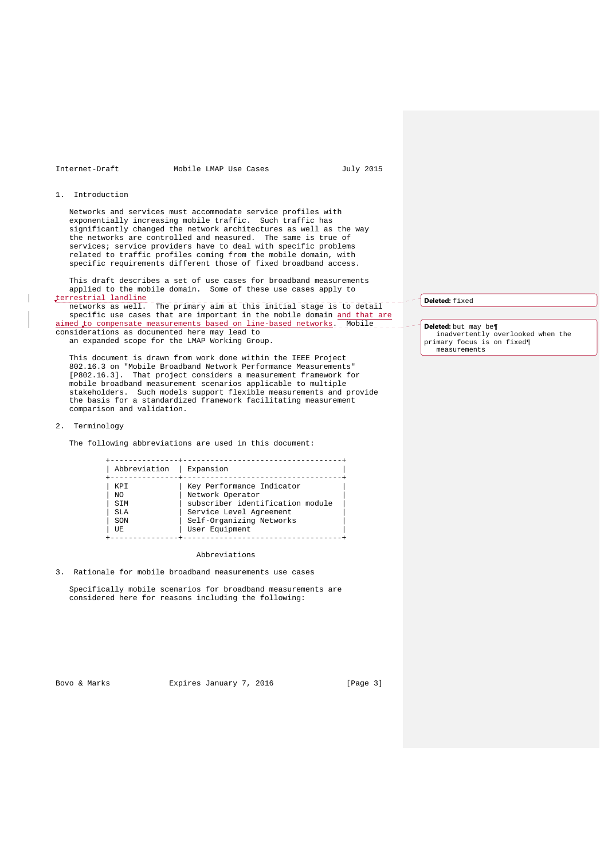Internet-Draft Mobile LMAP Use Cases July 2015

1. Introduction

 Networks and services must accommodate service profiles with exponentially increasing mobile traffic. Such traffic has significantly changed the network architectures as well as the way the networks are controlled and measured. The same is true of services; service providers have to deal with specific problems related to traffic profiles coming from the mobile domain, with specific requirements different those of fixed broadband access.

 This draft describes a set of use cases for broadband measurements applied to the mobile domain. Some of these use cases apply to

terrestrial landline networks as well. The primary aim at this initial stage is to detail specific use cases that are important in the mobile domain and that are aimed to compensate measurements based on line-based networks. Mobile considerations as documented here may lead to an expanded scope for the LMAP Working Group.

 This document is drawn from work done within the IEEE Project 802.16.3 on "Mobile Broadband Network Performance Measurements" [P802.16.3]. That project considers a measurement framework for mobile broadband measurement scenarios applicable to multiple stakeholders. Such models support flexible measurements and provide the basis for a standardized framework facilitating measurement comparison and validation.

#### 2. Terminology

The following abbreviations are used in this document:

| Abbreviation                                  |
|-----------------------------------------------|
| KPI<br>NO.<br>SIM<br><b>SLA</b><br>SON<br>UE. |

#### Abbreviations

3. Rationale for mobile broadband measurements use cases

 Specifically mobile scenarios for broadband measurements are considered here for reasons including the following:

Bovo & Marks **Expires January 7, 2016** [Page 3]

**Deleted:** fixed

**Deleted:** but may be¶ inadvertently overlooked when the primary focus is on fixed¶ measurements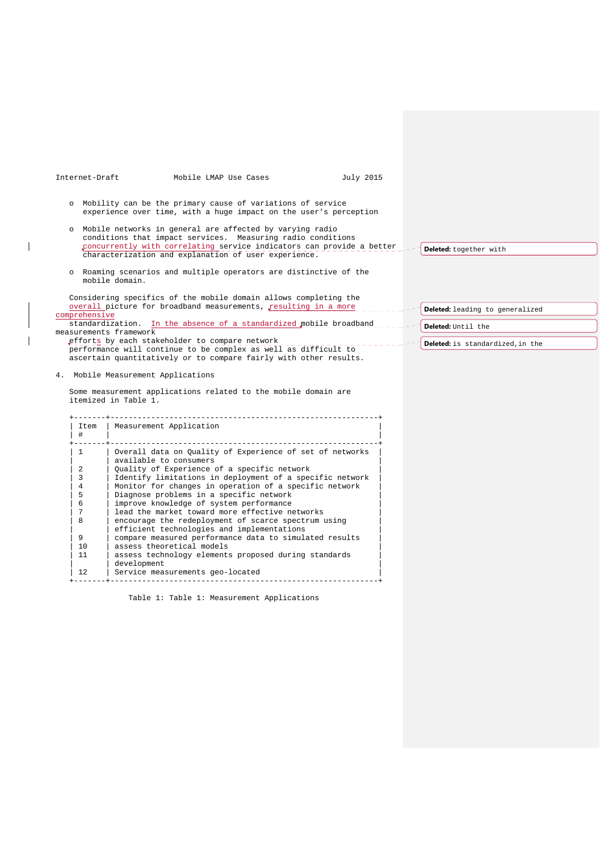| Internet-Draft   |                                    | Mobile LMAP Use Cases                                                                                                                                                                                                                                      | July 2015 |                                  |
|------------------|------------------------------------|------------------------------------------------------------------------------------------------------------------------------------------------------------------------------------------------------------------------------------------------------------|-----------|----------------------------------|
|                  |                                    | o Mobility can be the primary cause of variations of service<br>experience over time, with a huge impact on the user's perception                                                                                                                          |           |                                  |
|                  |                                    | o Mobile networks in general are affected by varying radio<br>conditions that impact services. Measuring radio conditions<br>concurrently with correlating service indicators can provide a better<br>characterization and explanation of user experience. |           | Deleted: together with           |
|                  | mobile domain.                     | o Roaming scenarios and multiple operators are distinctive of the                                                                                                                                                                                          |           |                                  |
|                  |                                    | Considering specifics of the mobile domain allows completing the                                                                                                                                                                                           |           |                                  |
|                  |                                    | overall picture for broadband measurements, resulting in a more                                                                                                                                                                                            |           | Deleted: leading to generalized  |
| comprehensive    | measurements framework             | standardization. In the absence of a standardized mobile broadband                                                                                                                                                                                         |           | Deleted: Until the               |
|                  |                                    | efforts by each stakeholder to compare network<br>performance will continue to be complex as well as difficult to                                                                                                                                          |           | Deleted: is standardized, in the |
|                  |                                    | ascertain quantitatively or to compare fairly with other results.                                                                                                                                                                                          |           |                                  |
|                  | 4. Mobile Measurement Applications |                                                                                                                                                                                                                                                            |           |                                  |
|                  | itemized in Table 1.               | Some measurement applications related to the mobile domain are                                                                                                                                                                                             |           |                                  |
| Item<br>#        |                                    | Measurement Application                                                                                                                                                                                                                                    |           |                                  |
| $+ - - - -$<br>1 |                                    | ----------------------------------<br>Overall data on Quality of Experience of set of networks<br>available to consumers                                                                                                                                   |           |                                  |
| 2                |                                    | Quality of Experience of a specific network                                                                                                                                                                                                                |           |                                  |
| $\overline{3}$   |                                    | Identify limitations in deployment of a specific network                                                                                                                                                                                                   |           |                                  |
| $\overline{4}$   |                                    | Monitor for changes in operation of a specific network                                                                                                                                                                                                     |           |                                  |
| 5                |                                    | Diagnose problems in a specific network                                                                                                                                                                                                                    |           |                                  |
| 6                |                                    | improve knowledge of system performance                                                                                                                                                                                                                    |           |                                  |
| 7                |                                    | lead the market toward more effective networks                                                                                                                                                                                                             |           |                                  |
| 8                |                                    | encourage the redeployment of scarce spectrum using<br>efficient technologies and implementations                                                                                                                                                          |           |                                  |
| 9                |                                    | compare measured performance data to simulated results                                                                                                                                                                                                     |           |                                  |
| 10               |                                    | assess theoretical models                                                                                                                                                                                                                                  |           |                                  |
| 11               | development                        | assess technology elements proposed during standards                                                                                                                                                                                                       |           |                                  |

 $\overline{\phantom{a}}$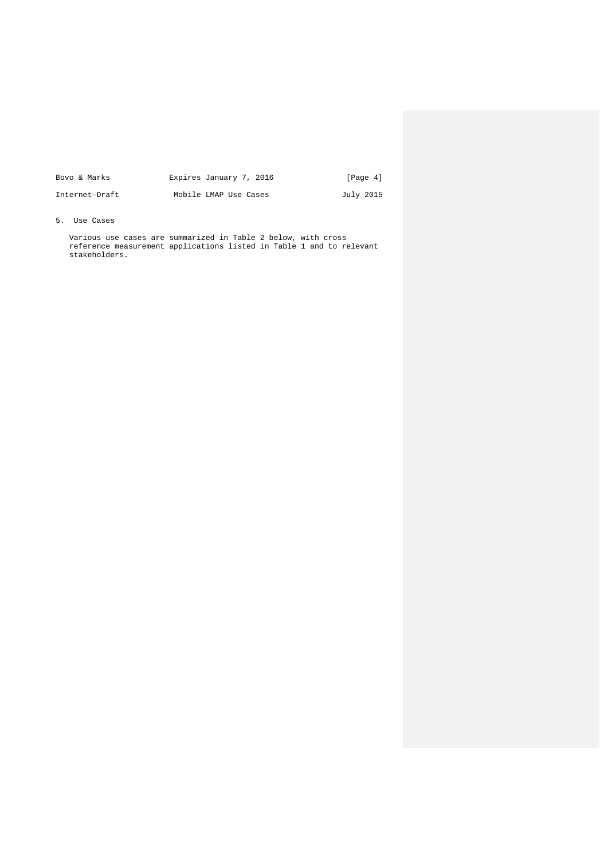| [Page 4]<br>Expires January 7, 2016<br>Bovo & Marks |  |  |  |  |  |  |  |  |  |
|-----------------------------------------------------|--|--|--|--|--|--|--|--|--|
|-----------------------------------------------------|--|--|--|--|--|--|--|--|--|

Internet-Draft Mobile LMAP Use Cases July 2015

# 5. Use Cases

 Various use cases are summarized in Table 2 below, with cross reference measurement applications listed in Table 1 and to relevant stakeholders.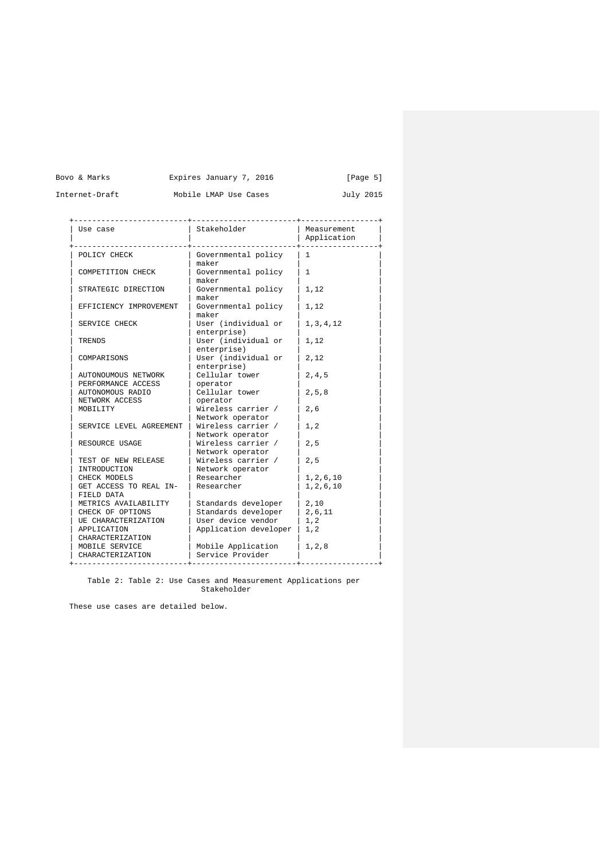|  |  | Bovo & Marks |
|--|--|--------------|
|--|--|--------------|

Expires January 7, 2016 [Page 5]

Internet-Draft Mobile LMAP Use Cases July 2015

| Use case                                  | Stakeholder                            | Measurement<br>Application |
|-------------------------------------------|----------------------------------------|----------------------------|
| POLICY CHECK                              | Governmental policy<br>maker           | 1                          |
| COMPETITION CHECK                         | Governmental policy<br>maker           | $\mathbf{1}$               |
| STRATEGIC DIRECTION                       | Governmental policy<br>maker           | 1,12                       |
| EFFICIENCY IMPROVEMENT                    | Governmental policy<br>maker           | 1,12                       |
| SERVICE CHECK                             | User (individual or<br>enterprise)     | 1, 3, 4, 12                |
| TRENDS                                    | User (individual or<br>enterprise)     | 1,12                       |
| COMPARISONS                               | User (individual or<br>enterprise)     | 2,12                       |
| AUTONOUMOUS NETWORK<br>PERFORMANCE ACCESS | Cellular tower<br>operator             | 2, 4, 5                    |
| AUTONOMOUS RADIO<br>NETWORK ACCESS        | Cellular tower<br>operator             | 2, 5, 8                    |
| MOBILITY                                  | Wireless carrier /<br>Network operator | 2,6                        |
| SERVICE LEVEL AGREEMENT                   | Wireless carrier /<br>Network operator | 1, 2                       |
| RESOURCE USAGE                            | Wireless carrier /<br>Network operator | 2, 5                       |
| TEST OF NEW RELEASE<br>INTRODUCTION       | Wireless carrier /<br>Network operator | 2,5                        |
| CHECK MODELS                              | Researcher                             | 1, 2, 6, 10                |
| GET ACCESS TO REAL IN-<br>FIELD DATA      | Researcher                             | 1, 2, 6, 10                |
| METRICS AVAILABILITY                      | Standards developer                    | 2,10                       |
| CHECK OF OPTIONS                          | Standards developer                    | 2,6,11                     |
| UE CHARACTERIZATION                       | User device vendor                     | 1, 2                       |
| APPLICATION<br><b>CHARACTERIZATION</b>    | Application developer                  | 1, 2                       |
| MOBILE SERVICE                            | Mobile Application                     | 1, 2, 8                    |
| CHARACTERIZATION                          | Service Provider                       |                            |

 Table 2: Table 2: Use Cases and Measurement Applications per Stakeholder

These use cases are detailed below.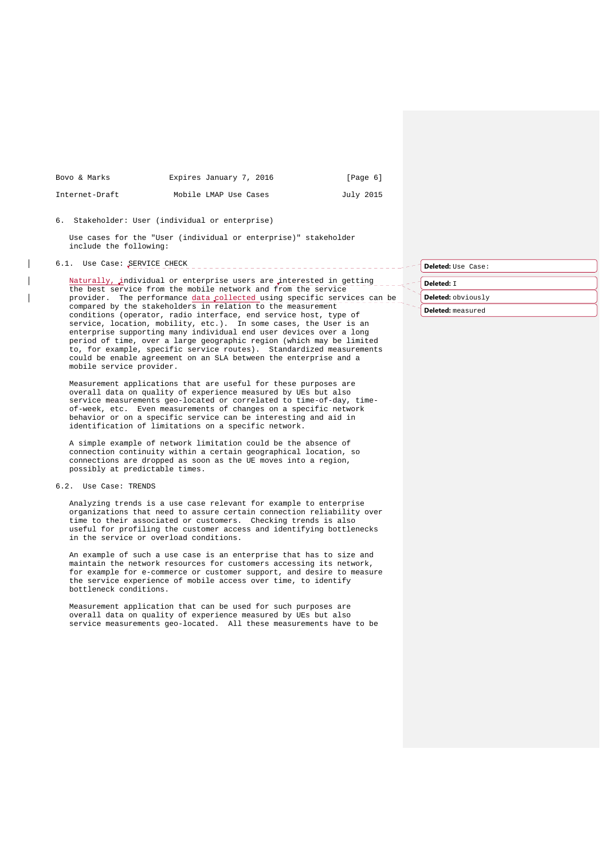| Bovo & Marks   | Expires January 7, 2016 | [Page 6]  |
|----------------|-------------------------|-----------|
| Internet-Draft | Mobile LMAP Use Cases   | July 2015 |

# 6. Stakeholder: User (individual or enterprise)

 Use cases for the "User (individual or enterprise)" stakeholder include the following:

# 6.1. Use Case: SERVICE CHECK

 Naturally, individual or enterprise users are interested in getting the best service from the mobile network and from the service provider. The performance data collected using specific services can be compared by the stakeholders in relation to the measurement conditions (operator, radio interface, end service host, type of service, location, mobility, etc.). In some cases, the User is an enterprise supporting many individual end user devices over a long period of time, over a large geographic region (which may be limited to, for example, specific service routes). Standardized measurements could be enable agreement on an SLA between the enterprise and a mobile service provider.

 Measurement applications that are useful for these purposes are overall data on quality of experience measured by UEs but also service measurements geo-located or correlated to time-of-day, time of-week, etc. Even measurements of changes on a specific network behavior or on a specific service can be interesting and aid in identification of limitations on a specific network.

 A simple example of network limitation could be the absence of connection continuity within a certain geographical location, so connections are dropped as soon as the UE moves into a region, possibly at predictable times.

#### 6.2. Use Case: TRENDS

 Analyzing trends is a use case relevant for example to enterprise organizations that need to assure certain connection reliability over time to their associated or customers. Checking trends is also useful for profiling the customer access and identifying bottlenecks in the service or overload conditions.

 An example of such a use case is an enterprise that has to size and maintain the network resources for customers accessing its network, for example for e-commerce or customer support, and desire to measure the service experience of mobile access over time, to identify bottleneck conditions.

 Measurement application that can be used for such purposes are overall data on quality of experience measured by UEs but also service measurements geo-located. All these measurements have to be **Deleted:** Use Case:

# **Deleted:** T **Deleted:** obviously

**Deleted:** measured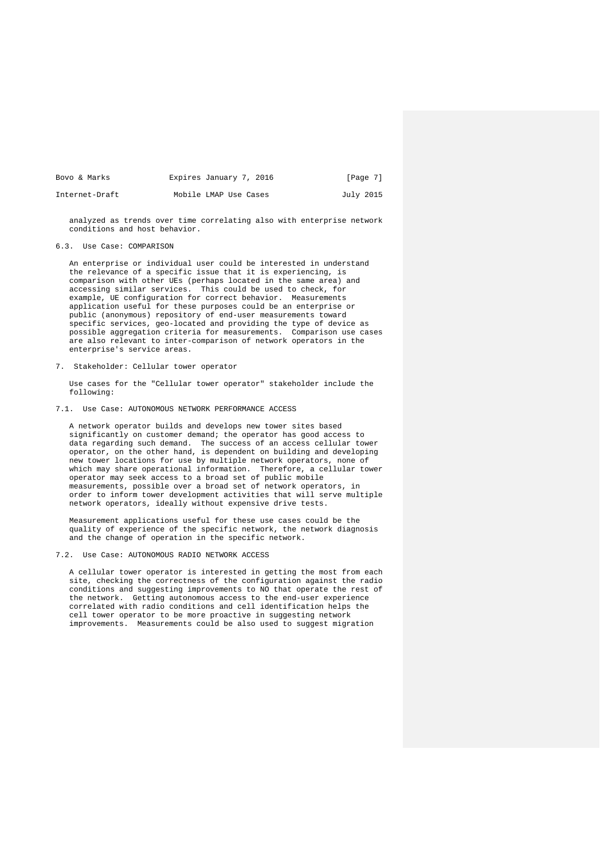| Bovo & Marks   | Expires January 7, 2016 | [Page 7]  |
|----------------|-------------------------|-----------|
| Internet-Draft | Mobile LMAP Use Cases   | July 2015 |

 analyzed as trends over time correlating also with enterprise network conditions and host behavior.

#### 6.3. Use Case: COMPARISON

 An enterprise or individual user could be interested in understand the relevance of a specific issue that it is experiencing, is comparison with other UEs (perhaps located in the same area) and accessing similar services. This could be used to check, for example, UE configuration for correct behavior. Measurements application useful for these purposes could be an enterprise or public (anonymous) repository of end-user measurements toward specific services, geo-located and providing the type of device as possible aggregation criteria for measurements. Comparison use cases are also relevant to inter-comparison of network operators in the enterprise's service areas.

7. Stakeholder: Cellular tower operator

 Use cases for the "Cellular tower operator" stakeholder include the following:

7.1. Use Case: AUTONOMOUS NETWORK PERFORMANCE ACCESS

 A network operator builds and develops new tower sites based significantly on customer demand; the operator has good access to data regarding such demand. The success of an access cellular tower operator, on the other hand, is dependent on building and developing new tower locations for use by multiple network operators, none of which may share operational information. Therefore, a cellular tower operator may seek access to a broad set of public mobile measurements, possible over a broad set of network operators, in order to inform tower development activities that will serve multiple network operators, ideally without expensive drive tests.

 Measurement applications useful for these use cases could be the quality of experience of the specific network, the network diagnosis and the change of operation in the specific network.

7.2. Use Case: AUTONOMOUS RADIO NETWORK ACCESS

 A cellular tower operator is interested in getting the most from each site, checking the correctness of the configuration against the radio conditions and suggesting improvements to NO that operate the rest of the network. Getting autonomous access to the end-user experience correlated with radio conditions and cell identification helps the cell tower operator to be more proactive in suggesting network improvements. Measurements could be also used to suggest migration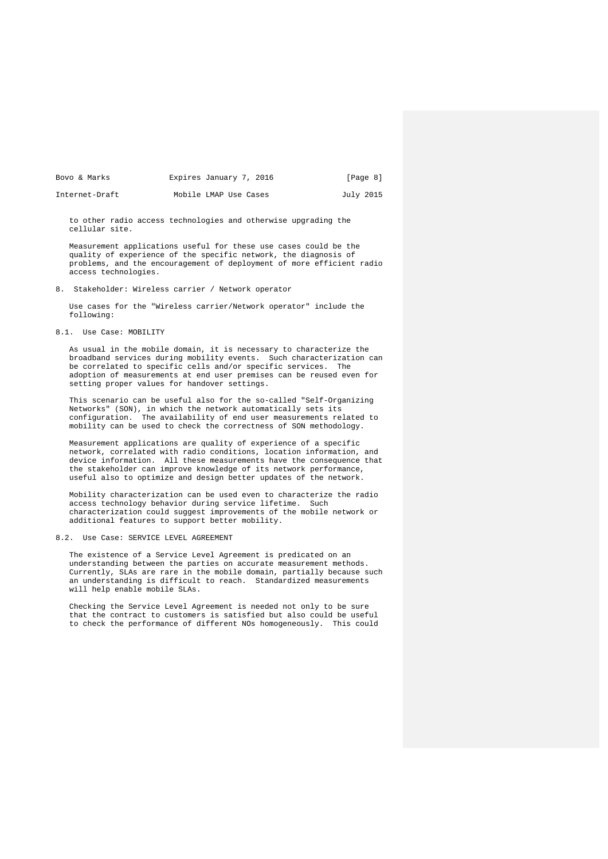| Bovo & Marks   | Expires January 7, 2016 | [Page 8]  |
|----------------|-------------------------|-----------|
| Internet-Draft | Mobile LMAP Use Cases   | July 2015 |

 to other radio access technologies and otherwise upgrading the cellular site.

 Measurement applications useful for these use cases could be the quality of experience of the specific network, the diagnosis of problems, and the encouragement of deployment of more efficient radio access technologies.

8. Stakeholder: Wireless carrier / Network operator

 Use cases for the "Wireless carrier/Network operator" include the following:

# 8.1. Use Case: MOBILITY

 As usual in the mobile domain, it is necessary to characterize the broadband services during mobility events. Such characterization can<br>be correlated to specific cells and/or specific services. The be correlated to specific cells and/or specific services. adoption of measurements at end user premises can be reused even for setting proper values for handover settings.

 This scenario can be useful also for the so-called "Self-Organizing Networks" (SON), in which the network automatically sets its configuration. The availability of end user measurements related to mobility can be used to check the correctness of SON methodology.

 Measurement applications are quality of experience of a specific network, correlated with radio conditions, location information, and device information. All these measurements have the consequence that the stakeholder can improve knowledge of its network performance, useful also to optimize and design better updates of the network.

 Mobility characterization can be used even to characterize the radio access technology behavior during service lifetime. Such characterization could suggest improvements of the mobile network or additional features to support better mobility.

8.2. Use Case: SERVICE LEVEL AGREEMENT

 The existence of a Service Level Agreement is predicated on an understanding between the parties on accurate measurement methods. Currently, SLAs are rare in the mobile domain, partially because such an understanding is difficult to reach. Standardized measurements will help enable mobile SLAs.

 Checking the Service Level Agreement is needed not only to be sure that the contract to customers is satisfied but also could be useful to check the performance of different NOs homogeneously. This could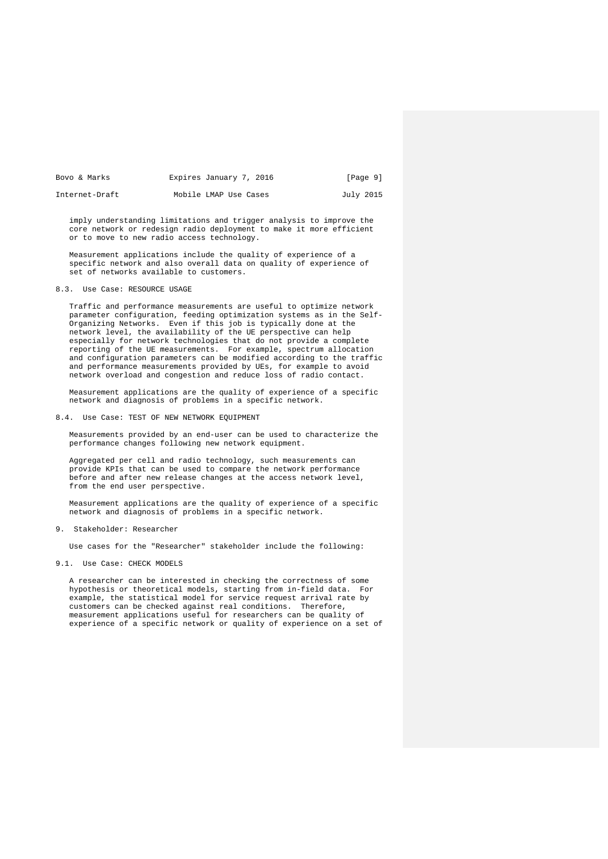| Bovo & Marks   | Expires January 7, 2016 | [Page 9]  |
|----------------|-------------------------|-----------|
| Internet-Draft | Mobile LMAP Use Cases   | July 2015 |

 imply understanding limitations and trigger analysis to improve the core network or redesign radio deployment to make it more efficient or to move to new radio access technology.

 Measurement applications include the quality of experience of a specific network and also overall data on quality of experience of set of networks available to customers.

# 8.3. Use Case: RESOURCE USAGE

 Traffic and performance measurements are useful to optimize network parameter configuration, feeding optimization systems as in the Self- Organizing Networks. Even if this job is typically done at the network level, the availability of the UE perspective can help especially for network technologies that do not provide a complete reporting of the UE measurements. For example, spectrum allocation and configuration parameters can be modified according to the traffic and performance measurements provided by UEs, for example to avoid network overload and congestion and reduce loss of radio contact.

 Measurement applications are the quality of experience of a specific network and diagnosis of problems in a specific network.

8.4. Use Case: TEST OF NEW NETWORK EQUIPMENT

 Measurements provided by an end-user can be used to characterize the performance changes following new network equipment.

 Aggregated per cell and radio technology, such measurements can provide KPIs that can be used to compare the network performance before and after new release changes at the access network level, from the end user perspective.

 Measurement applications are the quality of experience of a specific network and diagnosis of problems in a specific network.

#### 9. Stakeholder: Researcher

Use cases for the "Researcher" stakeholder include the following:

9.1. Use Case: CHECK MODELS

 A researcher can be interested in checking the correctness of some hypothesis or theoretical models, starting from in-field data. For example, the statistical model for service request arrival rate by customers can be checked against real conditions. Therefore, measurement applications useful for researchers can be quality of experience of a specific network or quality of experience on a set of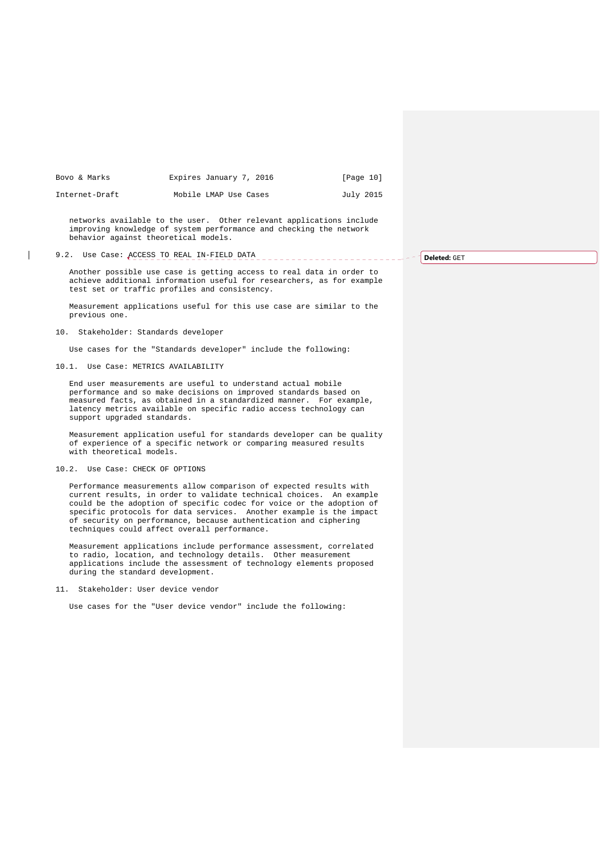| Bovo & Marks   | Expires January 7, 2016 | [Page 10] |
|----------------|-------------------------|-----------|
| Internet-Draft | Mobile LMAP Use Cases   | July 2015 |

 networks available to the user. Other relevant applications include improving knowledge of system performance and checking the network behavior against theoretical models.

# 9.2. Use Case: ACCESS TO REAL IN-FIELD DATA

**Deleted:** GET

 Another possible use case is getting access to real data in order to achieve additional information useful for researchers, as for example test set or traffic profiles and consistency.

 Measurement applications useful for this use case are similar to the previous one.

# 10. Stakeholder: Standards developer

 $\mathbf{I}$ 

Use cases for the "Standards developer" include the following:

10.1. Use Case: METRICS AVAILABILITY

 End user measurements are useful to understand actual mobile performance and so make decisions on improved standards based on measured facts, as obtained in a standardized manner. For example, latency metrics available on specific radio access technology can support upgraded standards.

 Measurement application useful for standards developer can be quality of experience of a specific network or comparing measured results with theoretical models.

### 10.2. Use Case: CHECK OF OPTIONS

 Performance measurements allow comparison of expected results with current results, in order to validate technical choices. An example could be the adoption of specific codec for voice or the adoption of specific protocols for data services. Another example is the impact of security on performance, because authentication and ciphering techniques could affect overall performance.

 Measurement applications include performance assessment, correlated to radio, location, and technology details. Other measurement applications include the assessment of technology elements proposed during the standard development.

11. Stakeholder: User device vendor

Use cases for the "User device vendor" include the following: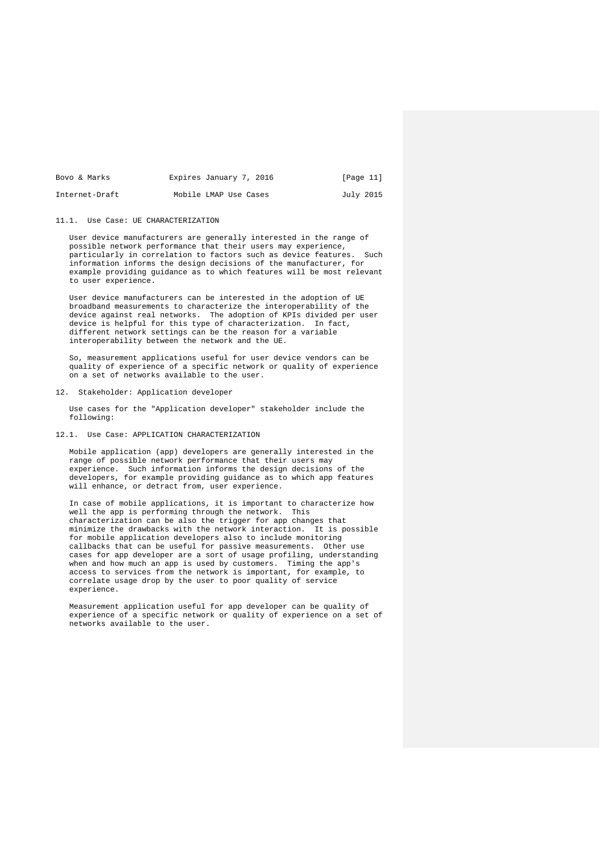| Bovo & Marks   | Expires January 7, 2016 | [Page 11] |
|----------------|-------------------------|-----------|
| Internet-Draft | Mobile LMAP Use Cases   | July 2015 |

#### 11.1. Use Case: UE CHARACTERIZATION

 User device manufacturers are generally interested in the range of possible network performance that their users may experience, particularly in correlation to factors such as device features. Such information informs the design decisions of the manufacturer, for example providing guidance as to which features will be most relevant to user experience.

 User device manufacturers can be interested in the adoption of UE broadband measurements to characterize the interoperability of the device against real networks. The adoption of KPIs divided per user device is helpful for this type of characterization. In fact, different network settings can be the reason for a variable interoperability between the network and the UE.

 So, measurement applications useful for user device vendors can be quality of experience of a specific network or quality of experience on a set of networks available to the user.

#### 12. Stakeholder: Application developer

 Use cases for the "Application developer" stakeholder include the following:

### 12.1. Use Case: APPLICATION CHARACTERIZATION

 Mobile application (app) developers are generally interested in the range of possible network performance that their users may experience. Such information informs the design decisions of the developers, for example providing guidance as to which app features will enhance, or detract from, user experience.

 In case of mobile applications, it is important to characterize how well the app is performing through the network. This characterization can be also the trigger for app changes that minimize the drawbacks with the network interaction. It is possible for mobile application developers also to include monitoring callbacks that can be useful for passive measurements. Other use cases for app developer are a sort of usage profiling, understanding when and how much an app is used by customers. Timing the app's access to services from the network is important, for example, to correlate usage drop by the user to poor quality of service experience.

 Measurement application useful for app developer can be quality of experience of a specific network or quality of experience on a set of networks available to the user.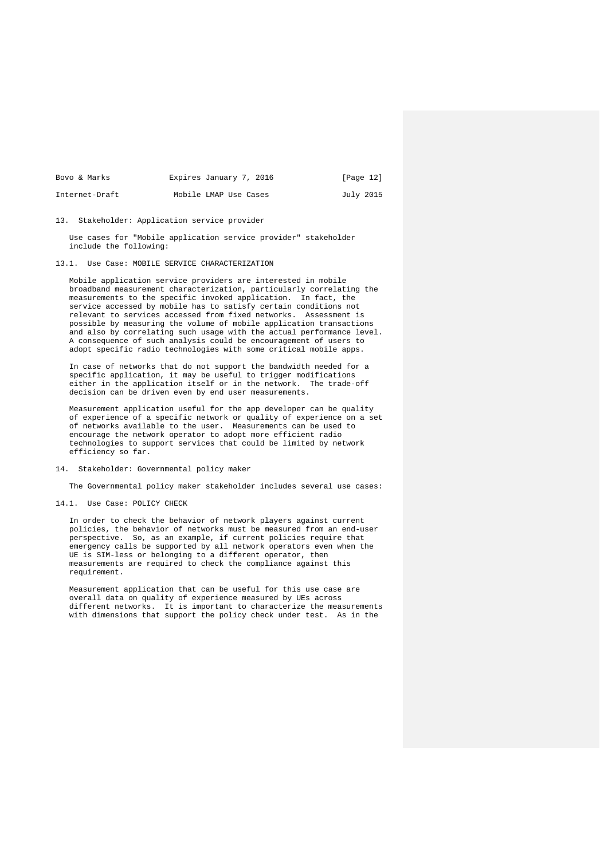| Bovo & Marks   | Expires January 7, 2016 | Page 121  |
|----------------|-------------------------|-----------|
| Internet-Draft | Mobile LMAP Use Cases   | July 2015 |

#### 13. Stakeholder: Application service provider

 Use cases for "Mobile application service provider" stakeholder include the following:

#### 13.1. Use Case: MOBILE SERVICE CHARACTERIZATION

 Mobile application service providers are interested in mobile broadband measurement characterization, particularly correlating the measurements to the specific invoked application. In fact, the service accessed by mobile has to satisfy certain conditions not relevant to services accessed from fixed networks. Assessment is possible by measuring the volume of mobile application transactions and also by correlating such usage with the actual performance level. A consequence of such analysis could be encouragement of users to adopt specific radio technologies with some critical mobile apps.

 In case of networks that do not support the bandwidth needed for a specific application, it may be useful to trigger modifications either in the application itself or in the network. The trade-off decision can be driven even by end user measurements.

 Measurement application useful for the app developer can be quality of experience of a specific network or quality of experience on a set of networks available to the user. Measurements can be used to encourage the network operator to adopt more efficient radio technologies to support services that could be limited by network efficiency so far.

#### 14. Stakeholder: Governmental policy maker

The Governmental policy maker stakeholder includes several use cases:

#### 14.1. Use Case: POLICY CHECK

 In order to check the behavior of network players against current policies, the behavior of networks must be measured from an end-user perspective. So, as an example, if current policies require that emergency calls be supported by all network operators even when the UE is SIM-less or belonging to a different operator, then measurements are required to check the compliance against this requirement.

 Measurement application that can be useful for this use case are overall data on quality of experience measured by UEs across different networks. It is important to characterize the measurements with dimensions that support the policy check under test. As in the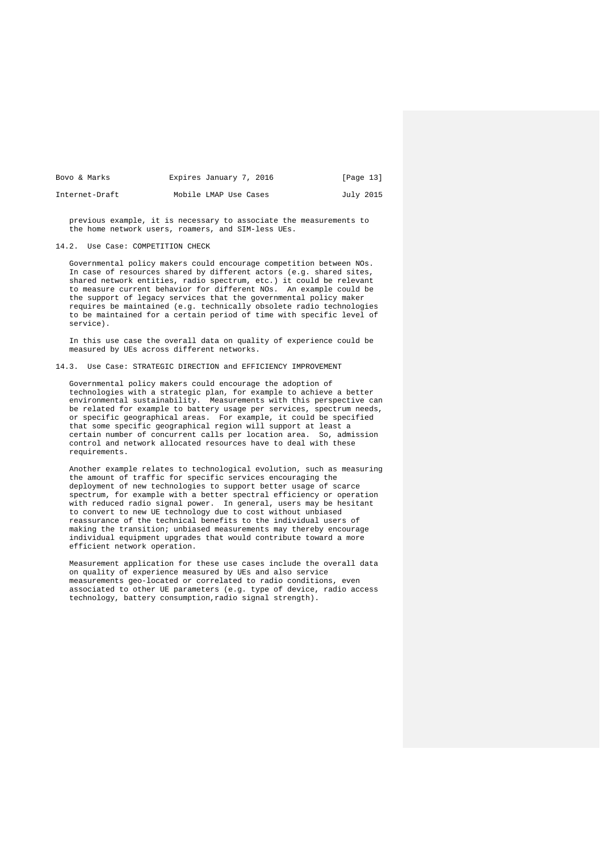| Bovo & Marks   | Expires January 7, 2016 | [Page 13] |
|----------------|-------------------------|-----------|
| Internet-Draft | Mobile LMAP Use Cases   | July 2015 |

 previous example, it is necessary to associate the measurements to the home network users, roamers, and SIM-less UEs.

#### 14.2. Use Case: COMPETITION CHECK

 Governmental policy makers could encourage competition between NOs. In case of resources shared by different actors (e.g. shared sites, shared network entities, radio spectrum, etc.) it could be relevant to measure current behavior for different NOs. An example could be the support of legacy services that the governmental policy maker requires be maintained (e.g. technically obsolete radio technologies to be maintained for a certain period of time with specific level of service).

 In this use case the overall data on quality of experience could be measured by UEs across different networks.

#### 14.3. Use Case: STRATEGIC DIRECTION and EFFICIENCY IMPROVEMENT

 Governmental policy makers could encourage the adoption of technologies with a strategic plan, for example to achieve a better<br>environmental sustainability. Measurements with this perspective c .<br>Measurements with this perspective can be related for example to battery usage per services, spectrum needs, or specific geographical areas. For example, it could be specified that some specific geographical region will support at least a certain number of concurrent calls per location area. So, admission certain number of concurrent calls per location area. control and network allocated resources have to deal with these requirements.

 Another example relates to technological evolution, such as measuring the amount of traffic for specific services encouraging the deployment of new technologies to support better usage of scarce spectrum, for example with a better spectral efficiency or operation with reduced radio signal power. In general, users may be hesitant to convert to new UE technology due to cost without unbiased reassurance of the technical benefits to the individual users of making the transition; unbiased measurements may thereby encourage individual equipment upgrades that would contribute toward a more efficient network operation.

 Measurement application for these use cases include the overall data on quality of experience measured by UEs and also service measurements geo-located or correlated to radio conditions, even associated to other UE parameters (e.g. type of device, radio access technology, battery consumption,radio signal strength).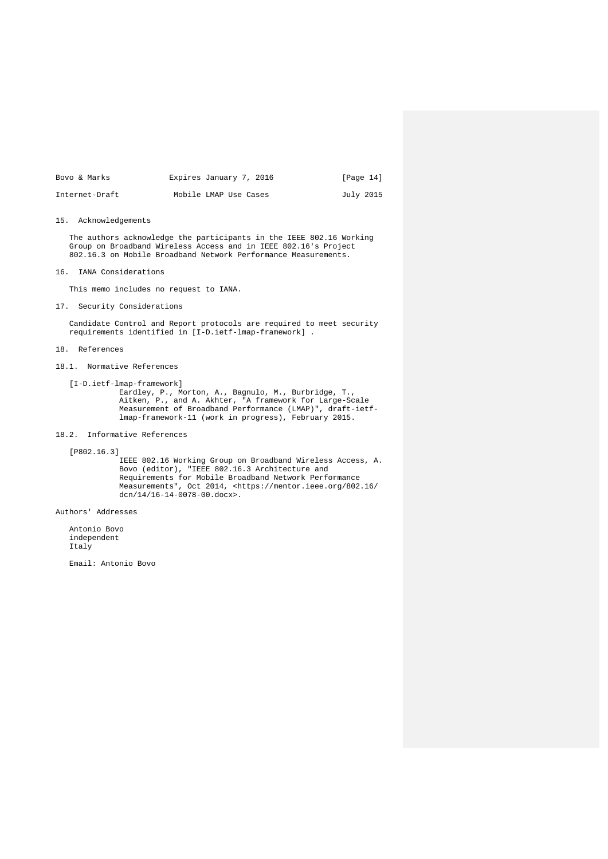| Bovo & Marks   | Expires January 7, 2016 | [Page $14$ ] |
|----------------|-------------------------|--------------|
| Internet-Draft | Mobile LMAP Use Cases   | July 2015    |

#### 15. Acknowledgements

 The authors acknowledge the participants in the IEEE 802.16 Working Group on Broadband Wireless Access and in IEEE 802.16's Project 802.16.3 on Mobile Broadband Network Performance Measurements.

## 16. IANA Considerations

This memo includes no request to IANA.

17. Security Considerations

 Candidate Control and Report protocols are required to meet security requirements identified in [I-D.ietf-lmap-framework] .

#### 18. References

### 18.1. Normative References

[I-D.ietf-lmap-framework]

 Eardley, P., Morton, A., Bagnulo, M., Burbridge, T., Aitken, P., and A. Akhter, "A framework for Large-Scale Measurement of Broadband Performance (LMAP)", draft-ietf lmap-framework-11 (work in progress), February 2015.

### 18.2. Informative References

[P802.16.3]

 IEEE 802.16 Working Group on Broadband Wireless Access, A. Bovo (editor), "IEEE 802.16.3 Architecture and Requirements for Mobile Broadband Network Performance Measurements", Oct 2014, <https://mentor.ieee.org/802.16/ dcn/14/16-14-0078-00.docx>.

Authors' Addresses

 Antonio Bovo independent Italy

Email: Antonio Bovo